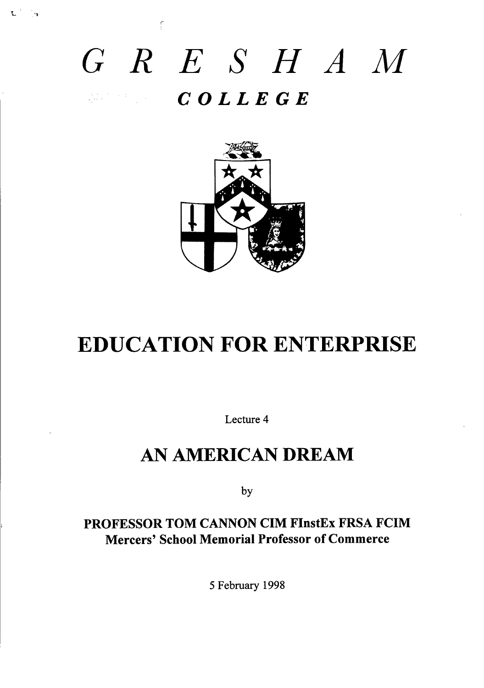# *GRE SHAM COLLEGE*

 $\frac{1}{2}$ 



# EDUCATION FOR ENTERPRISE

Lecture 4

# AN AMERICAN DREAM

by

### **PROFESSOR TOM CANNON CIM FInstEx FRSA FCIM Mercers' School Memorial Professor of Commerce**

5 Febmary 1998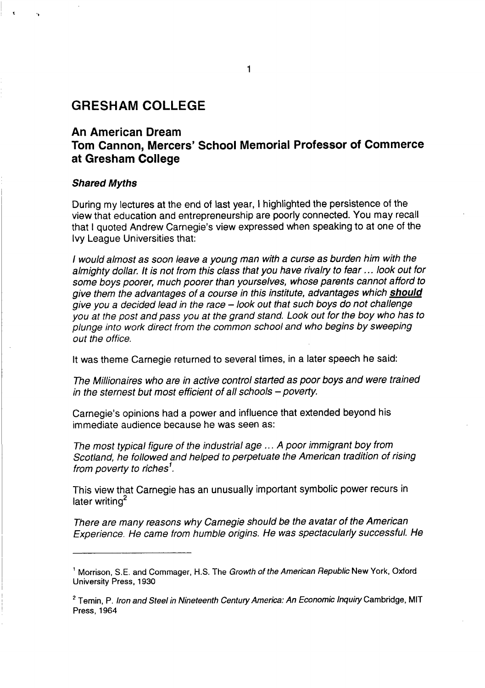#### **GRESHAM COLLEGE**

#### **An American Dream Tom Cannon, Mercers' School Memorial Professor of Commerce at Gresham College**

#### **Shared Myths**

During my lectures at the end of last year, I highlighted the persistence of the view that education and entrepreneurship are poorly connected. You may recall that I quoted Andrew Carnegie's view expressed when speaking to at one of the Ivy League Universities that:

I would almost as soon leave a young man with a curse as burden him with the almighty dollar. It is not from this class that you have rivalry to fear ... look out for some boys poorer, much poorer than yourselves, whose parents cannot afford to give them the advantages of a course in this institute, advantages which **should** give you a decided lead in the race – look out that such boys do not challenge you at the post and pass you at the grand stand. Look out for the boy who has to plunge into work direct from the common school and who begins by sweeping out the office.

It was theme Carnegie returned to several times, in a later speech he said:

The Millionaires who are in active control started as poor boys and were trained in the sternest but most efficient of all schools  $-$  poverty.

Carnegie's opinions had a power and influence that extended beyond his immediate audience because he was seen as:

The most typical figure of the industrial age .. . A poor immigrant boy from Scotland, he followed and helped to perpetuate the American tradition of rising from poverty to riches'.

This view that Carnegie has an unusually important symbolic power recurs in later writing<sup>2</sup>

There are many reasons why Carnegie should be the avatar of the American Experience. He came from humbie origins. He was spectacularly successful. He

**<sup>&#</sup>x27; Morrison, S.E. and Commager, H.S. The Grotih of** the American Repub/icNew **York, Otiord University Press, 1930**

**<sup>2</sup> Temin, P.** Iron and Steel in Nineteenth Centuy America: An Economic /nquiy **Cambtidge, MIT Press, 1964**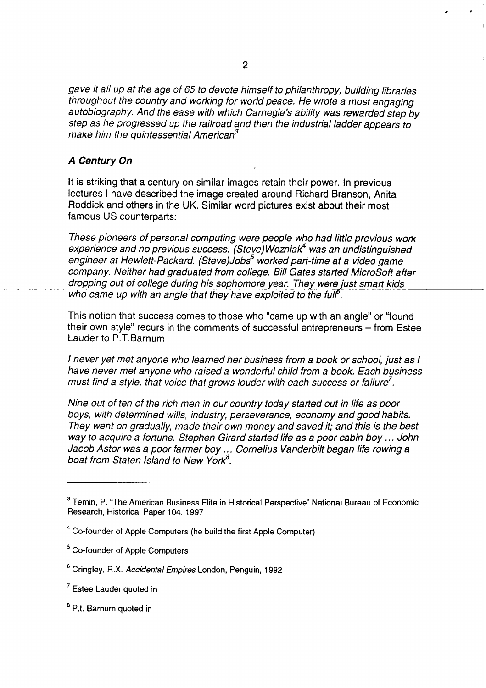gave it all up at the age of 65 to devote himself to philanthropy, building libraries throughout the country and working for world peace. He wrote a most engaging autobiography. And the ease with which Carnegie's ability was rewarded step by step as he progressed up the railroad and then the industrial ladder appears to make him the quintessential American<sup>3</sup>

#### **A Century On**

It is striking that a century on similar images retain their power. In previous lectures I have described the image created around Richard Branson, Anita Roddick and others in the UK. Similar word pictures exist about their most famous US counterparts:

These pioneers of personal computing were people who had little previous work experience and no previous success. (Steve) Wozniak<sup>4</sup> was an undistinguished engineer at Hewlett-Packard. (Steve)Jobs<sup>5</sup> worked part-time at a video game company. Neither had graduated from college. Bill Gates started MicroSofi after dropping out of college during his sophomore year. They were just smart kids who came up with an angle that they have exploited to the full<sup>6</sup>.

This notion that success comes to those who "came up with an angle" or "found their own style" recurs in the comments of successful entrepreneurs – from Estee Lauder to P.T. Barnum

I never yet met anyone who learned her business from a book or school, just as I have never met anyone who raised a wonderful child from a book. Each business must find a style, that voice that grows louder with each success or failure<sup>7</sup>.

Nine out of ten of the rich men in our country today started out in life as poor boys, with determined wills, industry, perseverance, economy and good habits. They went on gradually, made their own money and saved it; and this is the best way to acquire a fortune. Stephen Girard started life as a poor cabin boy ... John Jacob Astor was a poor farmer boy... Cornelius Vanderbilt began life rowing a boat from Staten Island to New York $8$ .

.. ,,

**<sup>3</sup> Temin, P. "The American Business Elite in Historical Perspective" National Bureau of Economic Research, Historical Paper 104, 1997**

**<sup>4</sup> Co-founder of Apple Computers (he build the first Apple Computer)**

**<sup>5</sup> Co-founder of Apple Computers**

**<sup>6</sup> Cringley, R.X.** Accidents/ Errrpjres **London, Penguin, 1992**

**<sup>7</sup> Estee Lauder quoted in**

**<sup>8</sup> Pt. Barnum quoted in**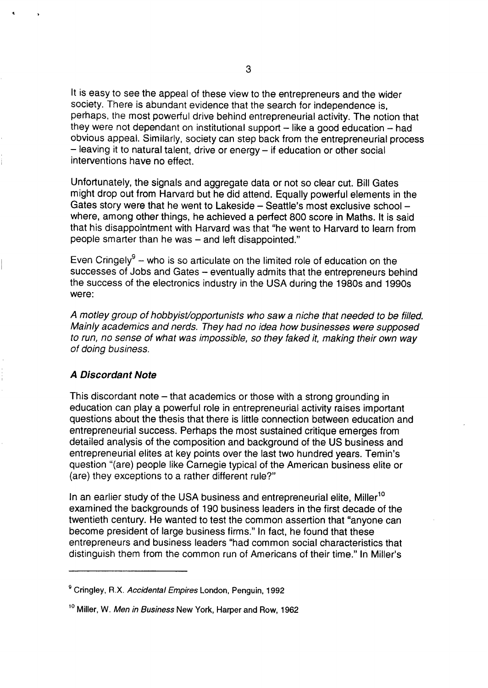It is easy to see the appeal of these view to the entrepreneurs and the wider society. There is abundant evidence that the search for independence is, perhaps, the most powerful drive behind entrepreneurial activity. The notion that they were not dependant on institutional support  $-$  like a good education  $-$  had obvious appeal. Similarly, society can step back from the entrepreneurial process – leaving it to natural talent, drive or energy – if education or other social interventions have no effect.

Unfortunately, the signals and aggregate data or not so clear cut. Bill Gates might drop out from Harvard but he did attend. Equally powerful elements in the Gates story were that he went to Lakeside – Seattle's most exclusive school – where, among other things, he achieved a perfect 800 score in Maths. It is said that his disappointment with Harvard was that "he went to Harvard to learn from people smarter than he was – and left disappointed."

Even Cringely<sup>9</sup> – who is so articulate on the limited role of education on the successes of Jobs and Gates – eventually admits that the entrepreneurs behind the success of the electronics industry in the USA during the 1980s and 1990s were:

A motley group of hobbyist/opportunists who saw a niche that needed to be filled. Mainly academics and nerds. They had no idea how businesses were supposed to run, no sense of what was impossible, so they faked it, making their own way of doing business.

#### **A Discordant Note**

**a >**

This discordant note – that academics or those with a strong grounding in education can play a powerful role in entrepreneurial activity raises important questions about the thesis that there is little connection between education and entrepreneurial success. Perhaps the most sustained critique emerges from detailed analysis of the composition and background of the US business and entrepreneurial elites at key points over the last two hundred years. Temin's question "(are) people like Carnegie typical of the American business elite or (are) they exceptions to a rather different rule?"

In an earlier study of the USA business and entrepreneurial elite. Miller<sup>10</sup> examined the backgrounds of 190 business leaders in the first decade of the twentieth century. He wanted to test the common assertion that "anyone can become president of large business firms." In fact, he found that these entrepreneurs and business leaders "had common social characteristics that distinguish them from the common run of Americans of their time." In Miller's

**gCringley, R.X.** Accidents/ Emp;res **London, Penguin, 1992**

**<sup>10</sup>Miller, W. Men in** Business New **York, Harper and Row, 1962**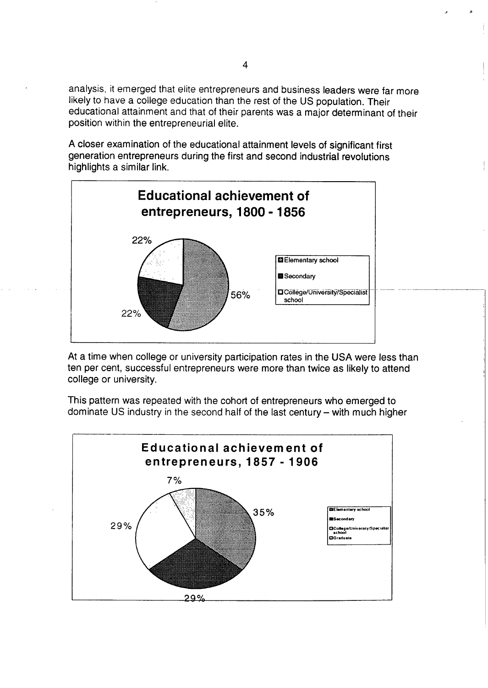analysis, it emerged that elite entrepreneurs and business leaders were far more likely to have a college education than the rest of the US population. Their educational attainment and that of their parents was a major determinant of their position within the entrepreneurial elite.

A closer examination of the educational attainment levels of significant first generation entrepreneurs during the first and second industrial revolutions highlights a similar link.



At a time when college or university participation rates in the USA were less than ten per cent, successful entrepreneurs were more than twice as likely to attend college or university,

This pattern was repeated with the cohort of entrepreneurs who emerged to dominate US industry in the second half of the last century – with much higher



 $\mathfrak{a}$  defines a  $\mathfrak{b}$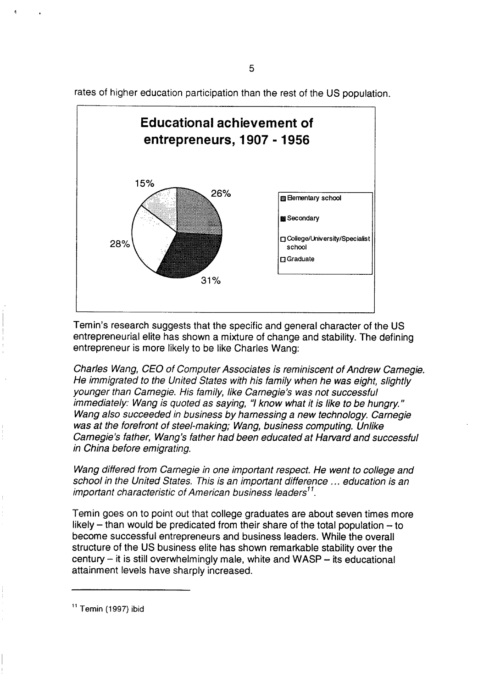rates of higher education participation than the rest of the US population.

5



Temin's research suggests that the specific and general character of the US entrepreneurial elite has shown a mixture of change and stability. The defining entrepreneur is more likely to be like Charles Wang:

Charles Wang, CEO of Computer Associates js remjnjscent of Andrew Carnegje. He immigrated to the United States with his family when he was eight, slightly younger than Carnegie. His family, like Carnegie's was not successful immediately: Wang is quoted as saying, "I know what it is like to be hungry." Wang also succeeded in business by harnessing a new technology. Carnegie was at the forefront of steel-making; Wang, business computing. Unlike Carnegie's father, Wang's father had been educated at Harvard and successful in China before emigrating.

Wang differed from Carnegie in one important respect. He went to college and school in the United States. This is an important difference ... education is an important characteristic of American business leaders<sup>11</sup>.

Temin goes on to point out that college graduates are about seven times more likely  $-$  than would be predicated from their share of the total population  $-$  to become successful entrepreneurs and business leaders. While the overall structure of the US business elite has shown remarkable stability over the  $century - it$  is still overwhelmingly male, white and  $WASP - its educational$ attainment levels have sharply increased.

**<sup>11</sup>Temin (1 997) ibid**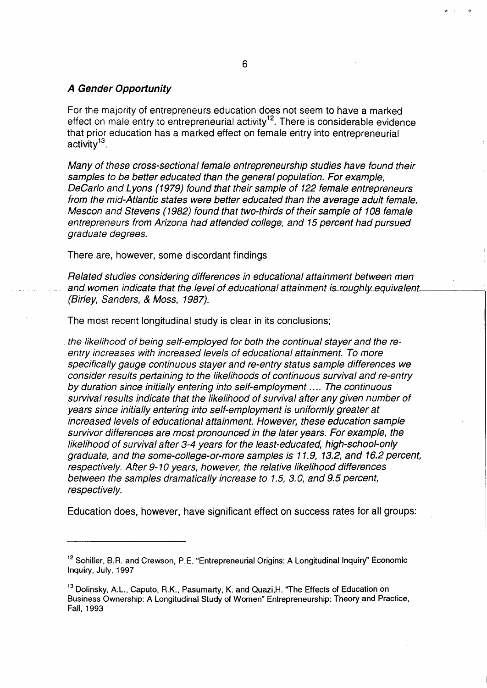#### **A Gender Oppotiunity**

**For** the **majority** of **entrepreneurs** education does not seem to have a marked effect on male entry to entrepreneurial activity<sup>12</sup>. There is considerable evidence that prior education has a marked effect on female entry into entrepreneurial activity<sup>13</sup>.

Many of these cross-sectional female entrepreneurship studies have found their samples to be better educated than the general population. For example, DeCarlo and Lyons (1979) found that their sample of 122 female entrepreneurs from the mid-Atlantic states were better educated than the average adult female. Mescon and Stevens (1982) found that two-thirds of their sample of 108 female entrepreneurs from Arizona had attended college, and 15 percent had pursued graduate degrees.

There are, however, some discordant findings

Related studies considering differences in educational attainment between men and women indicate that the level of educational attainment is roughly equivalent. (Birley, Sanders, & Moss, 1987).

I

The most recent longitudinal study is clear in its conclusions;

the likelihood of being self-employed for both the continual stayer and the reentry increases with increased levels of educational attainment. To more specifically gauge continuous stayer and re-entry status sample differences we consider results petiaining to the likelihoods of continuous survival and re-entry by duration since initially entering into self-employment .... The continuous survival results indicate that the likelihood of survival after any given number of years since initially entering into self-employment is uniformly greater at increased levels of educational attainment. However, these education sample survivor differences are most pronounced in the later years. For example, the likelihood of survival after 3-4 years for the least-educated, high-school-only graduate, and the some-college-or-more samples is 11.9, 13.2, and 16.2 percent, respectively. After 9-10 years, however, the relative likelihood differences between the samples dramatically increase to 1.5, 3.0, and 9.5 percent, respectively.

Education does, however, have significant effect on success rates for all groups: ~

<sup>&</sup>lt;sup>12</sup> Schiller, B.R. and Crewson, P.E. "Entrepreneurial Origins: A Longitudinal Inquiry" Economic **Inquiy, July, 1997**

<sup>&</sup>lt;sup>13</sup> Dolinsky, A.L., Caputo, R.K., Pasumarty, K. and Quazi, H. "The Effects of Education on **Business Ownership: A Longitudinal Study of Women" Entrepreneurship: Theory and Practice, Fall, 1993**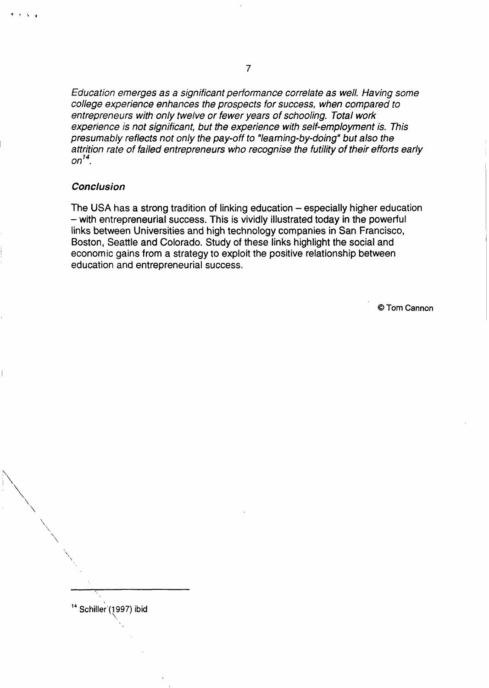Education emerges as a significant performance correlate as well. Having some college experience enhances the prospects for success, when compared to entrepreneurs with only twelve or fewer years of schooling. Total work experience is not significant, but the experience with self-employment is. This presumably reflects not only the pay-off to "learning-by-doing" but also the attrition rate of failed entrepreneurs who recognise the futility of their efforts early  $on<sup>14</sup>$ .

#### **Conclusion**

 $\vert$ 

 $\overline{a}$ 

'\

**"\**

<sup>14</sup> Schiller (1997) ibid

The USA has a strong tradition of linking education – especially higher education – with entrepreneurial success. This is vividly illustrated today in the powerful links between Universities and high technology companies in San Francisco, Boston, Seattle and Colorado. Study of these links highlight the social and economic gains from a strategy to exploit the positive relationship between education and entrepreneurial success.

@Tom Cannon